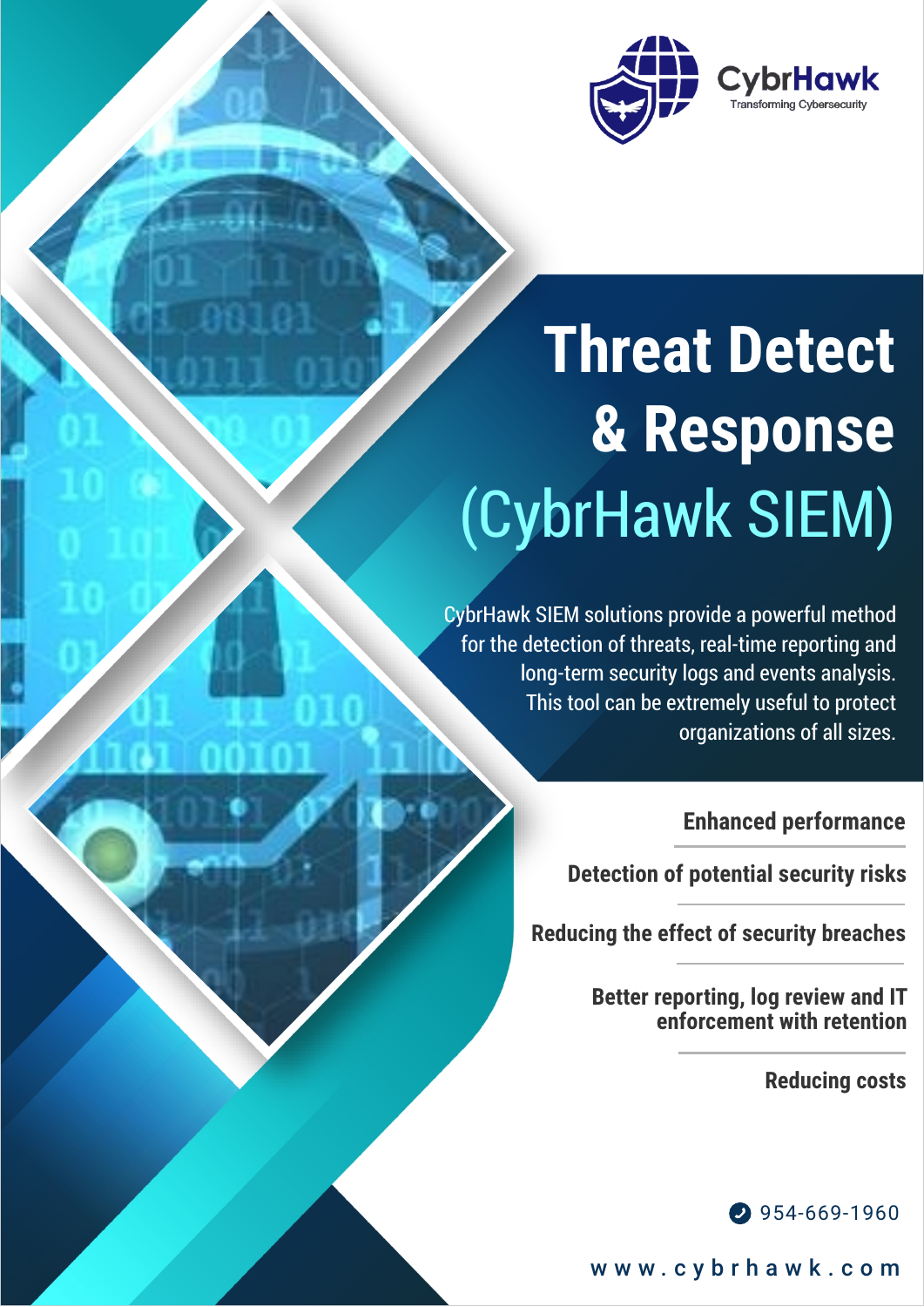

## **Threat Detect & Response** (CybrHawk SIEM)

CybrHawk SIEM solutions provide a powerful method for the detection of threats, real-time reporting and long-term security logs and events analysis. This tool can be extremely useful to protect organizations of all sizes.

**Enhanced performance**

**Detection of potential security risks**

**Reducing the effect of security breaches**

**Better reporting, log review and IT enforcement with retention**

**Reducing costs**

954-669-1960

w w w . c y b r h a w k . c o m